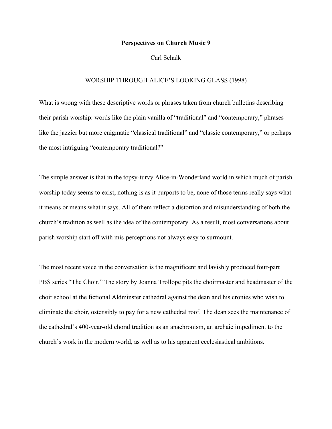## **Perspectives on Church Music 9**

Carl Schalk

## WORSHIP THROUGH ALICE'S LOOKING GLASS (1998)

What is wrong with these descriptive words or phrases taken from church bulletins describing their parish worship: words like the plain vanilla of "traditional" and "contemporary," phrases like the jazzier but more enigmatic "classical traditional" and "classic contemporary," or perhaps the most intriguing "contemporary traditional?"

The simple answer is that in the topsy-turvy Alice-in-Wonderland world in which much of parish worship today seems to exist, nothing is as it purports to be, none of those terms really says what it means or means what it says. All of them reflect a distortion and misunderstanding of both the church's tradition as well as the idea of the contemporary. As a result, most conversations about parish worship start off with mis-perceptions not always easy to surmount.

The most recent voice in the conversation is the magnificent and lavishly produced four-part PBS series "The Choir." The story by Joanna Trollope pits the choirmaster and headmaster of the choir school at the fictional Aldminster cathedral against the dean and his cronies who wish to eliminate the choir, ostensibly to pay for a new cathedral roof. The dean sees the maintenance of the cathedral's 400-year-old choral tradition as an anachronism, an archaic impediment to the church's work in the modern world, as well as to his apparent ecclesiastical ambitions.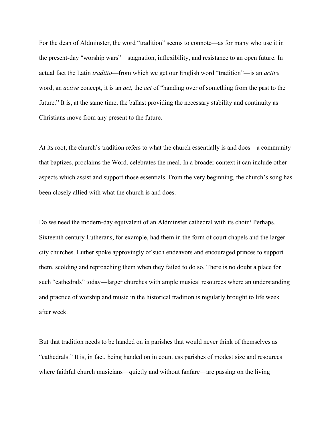For the dean of Aldminster, the word "tradition" seems to connote—as for many who use it in the present-day "worship wars"—stagnation, inflexibility, and resistance to an open future. In actual fact the Latin *traditio*—from which we get our English word "tradition"—is an *active* word, an *active* concept, it is an *act*, the *act* of "handing over of something from the past to the future." It is, at the same time, the ballast providing the necessary stability and continuity as Christians move from any present to the future.

At its root, the church's tradition refers to what the church essentially is and does—a community that baptizes, proclaims the Word, celebrates the meal. In a broader context it can include other aspects which assist and support those essentials. From the very beginning, the church's song has been closely allied with what the church is and does.

Do we need the modern-day equivalent of an Aldminster cathedral with its choir? Perhaps. Sixteenth century Lutherans, for example, had them in the form of court chapels and the larger city churches. Luther spoke approvingly of such endeavors and encouraged princes to support them, scolding and reproaching them when they failed to do so. There is no doubt a place for such "cathedrals" today—larger churches with ample musical resources where an understanding and practice of worship and music in the historical tradition is regularly brought to life week after week.

But that tradition needs to be handed on in parishes that would never think of themselves as "cathedrals." It is, in fact, being handed on in countless parishes of modest size and resources where faithful church musicians—quietly and without fanfare—are passing on the living